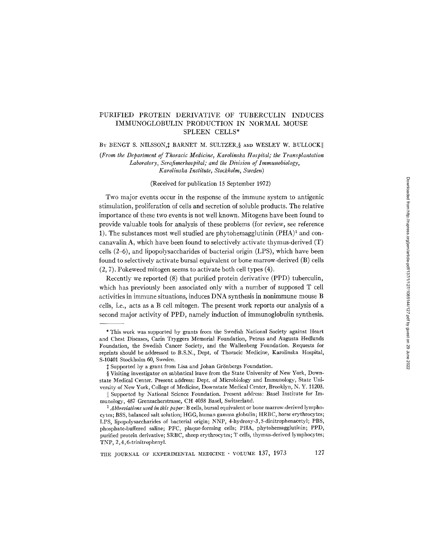# PURIFIED PROTEIN DERIVATIVE OF TUBERCULIN INDUCES IMMUNOGLOBULIN PRODUCTION IN NORMAL MOUSE SPLEEN CELLS\*

BY BENGT S. NILSSON,  $\sharp$  BARNET M. SULTZER,  $\S$  and WESLEY W. BULLOCK

*(From the Department of Thoracic Medicine, Karolinska Hospital; the Transplantation Laboratory, Serafimerhospital; and the Division of Immunobiology, Karolinska Institute, Stockholm, Sweden)* 

(Received for publication 15 September 1972)

Two major events occur in the response of the immune system to antigenic stimulation, proliferation of cells and secretion of soluble products. The relative importance of these two events is not well known. Mitogens have been found to provide valuable tools for analysis of these problems (for review, see reference 1). The substances most well studied are phytohemagglutinin  $(PHA)^1$  and concanavalin A, which have been found to selectively activate thymus-derived (T) cells (2-6), and lipopolysaccharides of bacterial origin (LPS), which have been found to selectively activate bursal equivalent or bone marrow-derived (B) cells (2, 7). Pokeweed mitogen seems to activate both cell types (4).

Recently we reported (8) that purified protein derivative (PPD) tuberculin, which has previously been associated only with a number of supposed T cell activities in immune situations, induces DNA synthesis in nonimmune mouse B cells, i.e., acts as a B cell mitogen. The present work reports our analysis of a second major activity of PPD, namely induction of immunoglobulin synthesis.

<sup>\*</sup> This work was supported by grants from the Swedish National Society against Heart and Chest Diseases, Carin Tryggers Memorial Foundation, Petrus and Augusta Hedlunds Foundation, the Swedish Cancer Society, and the Wallenberg Foundation. Requests for reprints should be addressed to B.S.N., Dept. of Thoracic Medicine, Karolinska Hospital, S-10401 Stockholm 60, Sweden.

 $\ddagger$  Supported by a grant from Lisa and Johan Grönbergs Foundation.

<sup>§</sup> Visiting investigator on sabbatical leave from the State University of New York, Downstate Medical Center. Present address: Dept. of Microbiology and Immunology, State University of New York, College of Medicine, Downstate Medical Center, Brooklyn, N. Y. 11203.

<sup>||</sup> Supported by National Science Foundation. Present address: Basel Institute for Immunology, 487 Grenzacherstrasse, CH 4058 Basel, Switzerland.

*<sup>1</sup> A bbrevialions used in this paper:* B cells, bursal equivalent or bone marrow-derived lymphocytes; BSS, balanced salt solution; HGG, human gamma globulin; HRBC, horse erythrocytes; LPS, lipopolysaecharides of bacterial origin; NNP, 4-hydroxy-3,5-dinitrophenacetyl; PBS, phosphate-buffered saline; PFC, plaque-forming cells; PHA, phytohemagglutinin; PPD, purified protein derivative; SRBC, sheep erythrocytes; T cells, thymus-derived lymphocytes; TNP, 2,4,6-trinitrophenyl.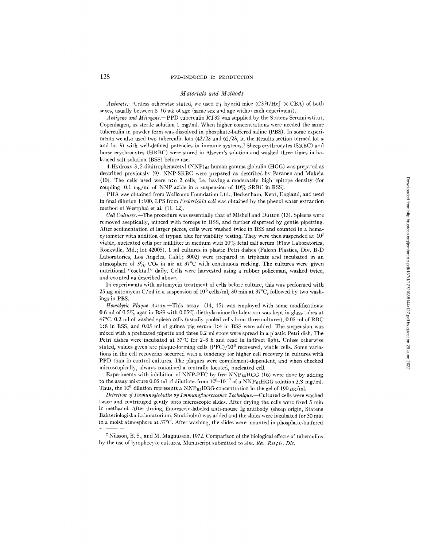#### *Materials and Methods*

*Animals.*—Unless otherwise stated, we used  $F_1$  hybrid mice (C3H/HeJ  $\times$  CBA) of both sexes, usually between 8-16 wk of age (same sex and age within each experiment).

*Antigens and Mitogens.--PPD* tuberculin RT32 was supplied by the Statens Seruminstitut, Copenhagen, as sterile solution 1 mg/ml. When higher concentrations were needed the same tuberculin in powder form was dissolved in phosphate-buffered saline (PBS). In some experiments we also used two tuberculin lots  $(42/23$  and  $62/23$ , in the Results section termed lot a and lot b) with well-defined potencies in immune systems.<sup>2</sup> Sheep erythrocytes (SRBC) and horse erythrocytes (HRBC) were stored in Alsever's solution and washed three times in balanced salt solution (BSS) before use.

4-Hydroxy-3, 5-dinitrophenacetyl  $(NNP)_{65}$  human gamma globulin (HGG) was prepared as described previously (9). NNP-SRBC were prepared as described by Pasanen and Mäkelä (10). The cells used were n:o 2 ceils, i.e. having a moderately high epitope density (for coupling: 0.1 mg/ml of NNP-azide in a suspension of  $10\%$  SRBC in BSS).

PHA was obtained from Wellcome Foundation Ltd., Beckenham, Kent, England, and used in final dilution 1 : 100. LPS from *Escherlchia coli* was obtained by the phenol-water extraction method of Westphal et al. (11, 12).

*Cell C~dtnres.--The* procedure was essentially that of Mishell and Dutton (13). Spleens were removed aseptically, minced with forceps in BSS, and further dispersed by gentle pipetting. After sedimentation of larger pieces, cells were washed twice in BSS and counted in a hemacytometer with addition of trypan blue for viability testing. They were then suspended at  $10<sup>7</sup>$ viable, nucleated cells per milliliter in medium with 10% fetal calf serum (Flow Laboratories, Rockville, Md. ; lot 42005). 1 ml cultures in plastic Petri dishes (Falcon Plastics, Div. B-D Laboratories, Los Angeles, Calif.; 3002) were prepared in triplicate and incubated in an atmosphere of  $5\%$  CO<sub>2</sub> in air at  $37^{\circ}$ C with continuous rocking. The cultures were given nutritional "cocktail" daily. Ceils were harvested using a rubber policeman, washed twice, and counted as described above.

In experiments with mitomycin treatment of ceils before culture, this was performed with 25  $\mu$ g mitomycin C/ml in a suspension of 10<sup>6</sup> cells/ml, 30 min at 37°C, followed by two washings in PBS.

*Hemolytic Plaque Assay.--This* assay (14, 15) was employed with some modifications: 0.6 ml of 0.5% agar in BSS with 0.05% diethylaminoethyl-dextran was kept in glass tubes at 47°C. 0.2 ml of washed spleen cells (usually pooled cells from three cultures), 0.05 ml of RBC 1:8 in BSS, and 0.05 ml of guinea pig serum 1:4 in BSS were added. The suspension was mixed with a preheated pipette and three 0.2 ml spots were spread in a plastic Petri dish. The Petri dishes were incubated at 37°C for 2-3 h and read in indirect light. Unless otherwise stated, values given are plaque-forming cells  $(PFC)/10^6$  recovered, viable cells. Some variations in the cell recoveries occurred with a tendency for higher cell recovery in cultures with PPD than in control cultures. The plaques were complement-dependent, and when checked microscopically, ahvays contained a centrally located, nucleated cell.

Experiments with inhibition of NNP-PFC by free NNP $_{65}$ HGG (16) were done by adding to the assay mixture 0.05 ml of dilutions from  $10^{0}$ - $10^{-7}$  of a NNP<sub>65</sub>HGG solution 3.8 mg/ml. Thus, the 10<sup>0</sup> dilution represents a NNP<sub>65</sub>HGG concentration in the gel of 190  $\mu$ g/ml.

*Detection of Immunoglobulin by [mmunofluorescence Technique.--Cultured* cells were washed twice and centrifuged gently onto microscopic slides. After drying the cells were fixed 5 min in methanol. After drying, fluorescein-labeled anti-mouse Ig antibody (sheep origin, Statens Bakteriologiska Laboratorium, Stockholm) was added and the slides were incubated for 30 min in a moist atmosphere at 37°C. After washing, the slides were mounted in phosphate-buffered

<sup>&</sup>lt;sup>2</sup> Nilsson, B. S., and M. Magnusson. 1972. Comparison of the biological effects of tuberculins by the use of lymphocyte cultures. Manuscript submitted to *Am. Rev. Respir. Dis.*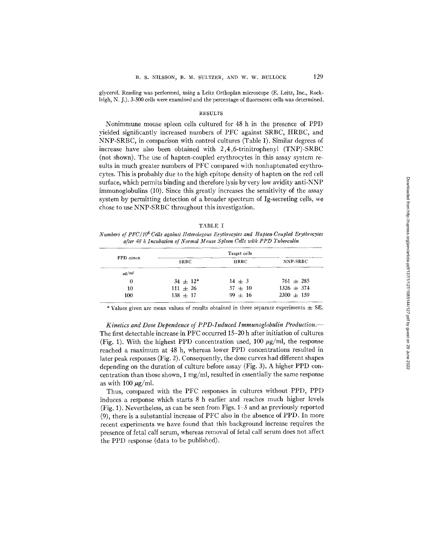glycerol. Reading was performed, using a Leitz Orthoplan microscope (E. Leitz, Inc., Rockleigh, N. J.). 3-500 cells were examined and the percentage of fluorescent cells was determined.

## RESULTS

Nonimmune mouse spleen cells cultured for 48 h in the presence of PPD yielded significantly increased numbers of PFC against SRBC, HRBC, and NNP-SRBC, in comparison with control cultures (Table I). Similar degrees of increase have also been obtained with 2,4,6-trinitrophenyl (TNP)-SRBC (not shown). The use of hapten-coupled erythrocytes in this assay system results in much greater numbers of PFC compared with nonhaptenated erythrocytes. This is probably due to the high epitope density of hapten on the red cell surface, which permits binding and therefore lysis by very low avidity anti-NNP immunoglobulins (10). Since this greatly increases the sensitivity of the assay system by permitting detection of a broader spectrum of Ig-secreting cells, we chose to use NNP-SRBC throughout this investigation.

|--|--|

*Numbers of PFC/IO 6 Cells against tleterologous Erythrocytes and Hapten-Coupled Erythrocytes after 48 h Incubation of Normal Mouse Spleen Cells with PPD Tuberculin* 

|            |               | Target cells |                |  |
|------------|---------------|--------------|----------------|--|
| PPD concn  | <b>SRBC</b>   | <b>HRBC</b>  | NNP-SRBC       |  |
| $\mu$ g/ml |               |              |                |  |
| 0          | $34 \pm 12^*$ | $14 \pm 3$   | $761 \pm 285$  |  |
| 10         | $111 \pm 26$  | $57 \pm 10$  | $1326 \pm 374$ |  |
| 100        | $138 \pm 17$  | $99 + 16$    | $2300 \pm 159$ |  |

\* Values given are mean values of results obtained in three separate experiments  $\pm$  SE.

*Kinetics and Dose Dependence of PPD-Induced Immunoglobulin Production.-*  The first detectable increase in PFC occurred 15-20 h after initiation of cultures (Fig. 1). With the highest PPD concentration used,  $100 \mu g/ml$ , the response reached a maximum at 48 h, whereas lower PPD concentrations resulted in later peak responses (Fig. 2). Consequently, the dose curves had different shapes depending on the duration of culture before assay (Fig. 3). A higher PPD concentration than those shown, 1 mg/ml, resulted in essentially the same response as with 100  $\mu$ g/ml.

Thus, compared with the PFC responses in cultures without PPD, PPD induces a response which starts 8 h earlier and reaches much higher levels (Fig. 1). Nevertheless, as can be seen from Figs. 1-3 and as previously reported (9), there is a substantial increase of PFC also in the absence of PPD. In more recent experiments we have found that this background increase requires the presence of fetal calf serum, whereas removal of fetal calf serum does not affect the PPD response (data to be published).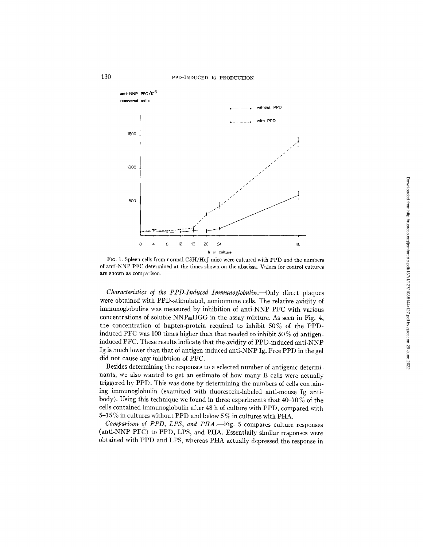# 130 **PPD-INDUCED** IG PRODUCTION



FIo. 1. Spleen cells from normal C3H/HeJ mice were cultured with PPD and the numbers of anti-NNP PFC determined at the times shown on the abscissa. Values for control cultures are shown as comparison.

*Characteristics of the PPD-Induced Immunoglobulin.--Only* direct plaques were obtained with PPD-stimulated, nonimmune ceils. The relative avidity of immunoglobulins was measured by inhibition of anti-NNP PFC with various concentrations of soluble  $NNP_{65}HGG$  in the assay mixture. As seen in Fig. 4, the concentration of hapten-protein required to inhibit 50% of the PPDinduced PFC was 100 times higher than that needed to inhibit 50% of antigeninduced PFC. These results indicate that the avidity of PPD-induced anti-NNP Ig is much lower than that of antigen-induced anti-NNP Ig. Free PPD in the gel did not cause any inhibition of PFC.

Besides determining the responses to a selected number of antigenic determinants, we also wanted to get an estimate of how many B cells were actually triggered by PPD. This was done by determining the numbers of cells containing immunoglobulin (examined with fluorescein-labeled anti-mouse Ig antibody). Using this technique we found in three experiments that 40-70 % of the cells contained immunoglobulin after 48 h of culture with PPD, compared with 5-15 % in cultures without PPD and below 5 % in cultures with PHA.

*Comparison of PPD, LPS, and PttA.--Fig.* 5 compares culture responses (anti-NNP PFC) to PPD, LPS, and PHA. Essentially similar responses were obtained with PPD and LPS, whereas PHA actually depressed the response in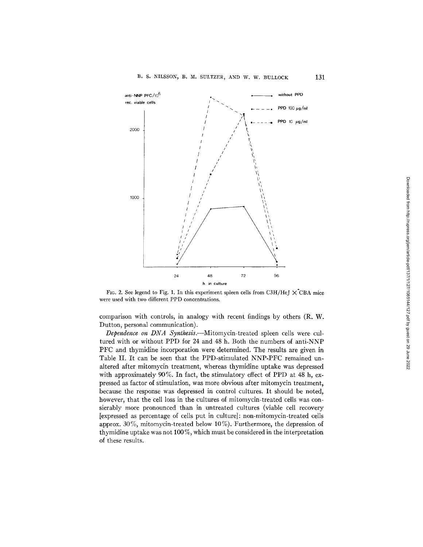

FIG. 2. **See legend to** Fig. 1. **In this experiment spleen cells from** C3H/HeJ X'CBA **mice were used with two different PPD concentrations.** 

**comparison with controls, in analogy with recent findings by others (R. W. Dutton, personal communication).** 

*Dependence on DNA Synthesis.--Mitomycin-treated* **spleen cells were cultured with or without PPD for 24 and 48 h. Both the numbers of anti-NNP PFC and thymidine incorporation were determined. The results are given in Table II. It can be seen that the PPD-stimulated NNP-PFC remained unaltered after mitomycin treatment, whereas thymidine uptake was depressed with approximately 90%. In fact, the stimulatory effect of PPD at 48 h, expressed as factor of stimulation, was more obvious after mitomycin treatment, because the response was depressed in control cultures. It should be noted, however, that the cell loss in the cultures of mitomycin-treated cells was consierably more pronounced than in untreated cultures (viable cell recovery [expressed as percentage of cells put in culture]: non-mitomycin-treated cells approx. 30 %, mitomycin-treated below 10 %). Furthermore, the depression of thymidine uptake was not 100 %, which must be considered in the interpretation of these results.**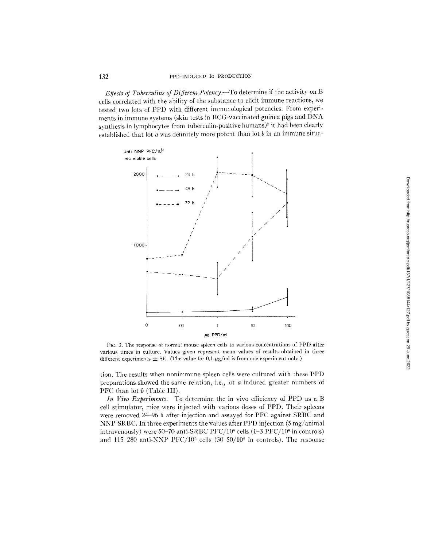*Effects of Tuberculins of Different Polency.*--To determine if the activity on B cells correlated with the ability of the subslance to elicit immune reactions, we tested two lots of PPD with different immunological potencies. From experiments in immune systems (skin tests in BCG-vaccinated guinea pigs and DNA synthesis in lymphocytes from tuberculin-positive humans)<sup>2</sup> it had been clearly established that lot  $a$  was definitely more potent than lot  $b$  in an immune situa-



FIc. 3. The response of normal mouse spleen cells to various concentrations of PPD after various times in culture. Values given represent mean values of results obtained in three different experiments  $\pm$  SE. (The value for 0.1  $\mu$ g/ml is from one experiment only.)

tion. The results when nonimmune spleen cells were cultured with these PPD preparations showed the same relation, i.e., lot a induced greater numbers of PFC than lot  $b$  (Table III).

*In Vivo Experiments.*—To determine the in vivo efficiency of PPD as a B cell stimulator, mice were injected with various doses of PPD. Their spleens were removed 2496 h after injection and assayed for PFC against SRBC and NNP-SRBC. In three experiments the values after PPD injection  $(5 \text{ mg/animal})$ intravenously) were 50-70 anti-SRBC PFC/10<sup>6</sup> cells (1-3 PFC/10<sup>6</sup> in controls) and 115-280 anti-NNP PFC/10<sup>6</sup> cells  $(30-50/10^6$  in controls). The response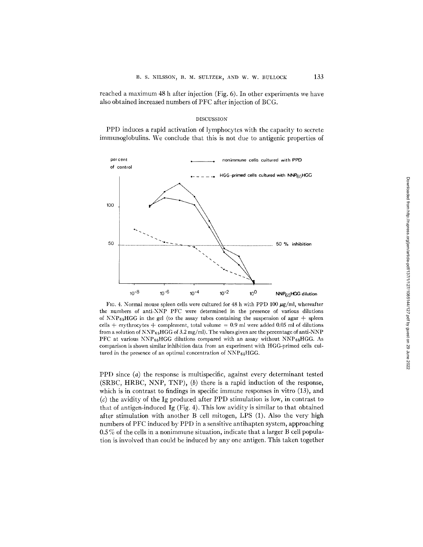reached a maximum 48 h after injection (Fig. 6). In other experiments we have also obtained increased numbers of PFC after injection of BCG.

## DISCUSSION

PPD induces a rapid activation of lymphocytes with the capacity to secrete immunoglobulins. We conclude that this is not due to antigenic properties of



FIG. 4. Normal mouse spleen cells were cultured for 48 h with PPD 100  $\mu$ g/ml, whereafter the numbers of anti-NNP PFC were determined in the presence of various dilutions of NNP $_{65}$ HGG in the gel (to the assay tubes containing the suspension of agar + spleen cells  $+$  erythrocytes  $+$  complement, total volume = 0.9 ml were added 0.05 ml of dilutions from a solution of  $NNP_{65}HGG$  of 3.2 mg/ml). The values given are the percentage of anti-NNP PFC at various  $NNP_{65}HGG$  dilutions compared with an assay without  $NNP_{65}HGG$ . As comparison is shown similar inhibition data from an experiment with HGG-primed cells cultured in the presence of an optimal concentration of NNP<sub>65</sub>HGG.

PPD since  $(a)$  the response is multispecific, against every determinant tested (SRBC, HRBC, NNP, TNP), (b) there is a rapid induction of the response, which is in contrast to findings in specific immune responses in vitro  $(13)$ , and  $(c)$  the avidity of the Ig produced after PPD stimulation is low, in contrast to that of antigen-induced Ig (Fig. 4). This low avidity is similar to that obtained after stimulation with another B cell mitogen, LPS (1). Also the very high numbers of PFC induced by PPD in a sensitive antihapten system, approaching 0.5 % of the cells in a nonimmune situation, indicate that a larger B cell population is involved than could be induced by any one antigen. This taken together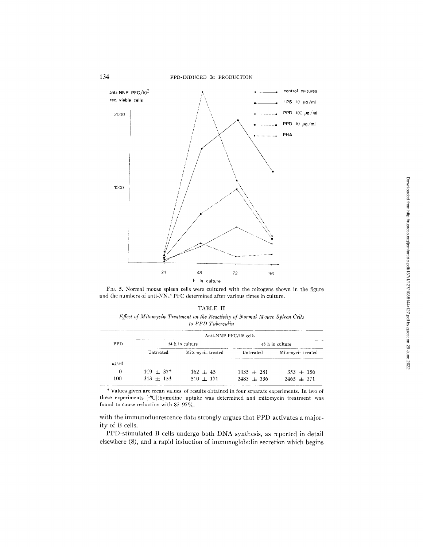

FIG. 5. Normal mouse spleen cells were cultured with the mitogens shown in the figure and the numbers of anti-NNP PFC determined after various times in culture.

| TABLE <b>II</b>                                                              |
|------------------------------------------------------------------------------|
| Effect of Mitomycin Treatment on the Reactivity of Normal Mouse Spleen Cells |
| to PPD Tuberculin                                                            |

|            |             | Anti-NNP PFC/10 <sup>6</sup> cells |                 |                   |
|------------|-------------|------------------------------------|-----------------|-------------------|
| PPD.       |             | 24 h in culture                    | 48 h in culture |                   |
|            | Untreated   | Mitomycin treated                  | Untreated       | Mitomycin treated |
| $\mu$ g/ml |             |                                    |                 |                   |
| 0          | $109 + 37*$ | $162 + 45$                         | $1035 + 281$    | $353 + 156$       |
| 100        | $313 + 153$ | $510 + 171$                        | $2483 + 336$    | $2465 + 271$      |

\* Values given are mean values of results obtained in four separate experiments. In two of these experiments  $[{}^{14}C]$ thymidine uptake was determined and mitomycin treatment was found to cause reduction with  $85-97\%$ .

with the immunofluorescence data strongly argues that PPD activates a majority **of B cells.** 

**PPD-stimulated B cells undergo both DNA synthesis, as reported in detail elsewhere (8), and a rapid induction of immunoglobulin secretion which begins**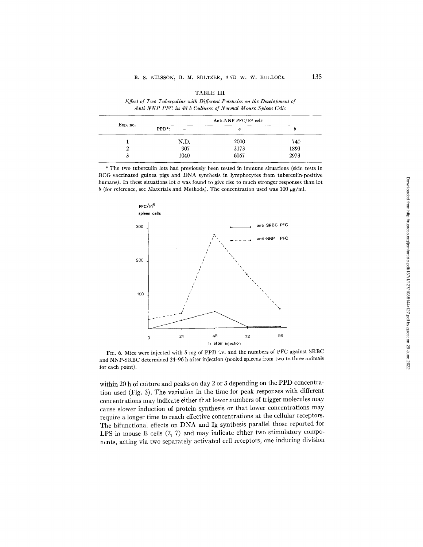|          |                | Anti-NNP PFC/10 <sup>6</sup> cells |      |
|----------|----------------|------------------------------------|------|
| Exp. no. | $PPD^*$ :<br>- | $\boldsymbol{a}$                   |      |
|          | N.D.           | 2000                               | 740  |
|          | 907            | 3173                               | 1893 |
|          | 1040           | 6067                               | 2973 |

**TABLE III** 

*<i>IZfect of Two Tuberculins with Different Potencies on the Development of* 

**\* The two tuberculin lots had previously been tested in immune situations (skin tests in BCG-vaccinated guinea pigs and DNA synthesis in lymphocytes from tuberculin-positive humans). In these situations lot a was found to give rise to much stronger responses than lot**   $b$  (for reference, see Materials and Methods). The concentration used was  $100~\mu$ g/ml.



**FIG. 6. Mice were injected with 5 mg of PPD i.v. and the numbers of PFC against SRBC and NNP-SRBC determined 24-96 h after injection (pooled spleens from two to three animals for each point).** 

**within 20 h of culture and peaks on day 2 or 3 depending on the PPD concentration used (Fig. 3). The variation in the time for peak responses with different concentrations may indicate either that lower numbers of trigger molecules may cause slower induction of protein synthesis or that lower concentrations may require a longer time to reach effective concentrations at the cellular receptors. The bifunctional effects on DNA and Ig synthesis parallel those reported for LPS in mouse B cells (2, 7) and may indicate either two stimulatory components, acting via two separately activated cell receptors, one inducing division**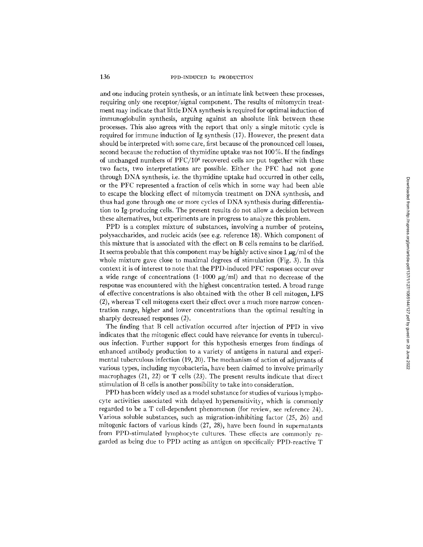and one inducing protein synthesis, or an intimate link between these processes, requiring only one receptor/signal component. The results of mitomycin treatment may indicate that little DNA synthesis is required for optimal induction of immunoglobulin synthesis, arguing against an absolute link between these processes. This also agrees with the report that only a single mitotic cycle is required for immune induction of Ig synthesis (17). However, the present data should be interpreted with some care, first because of the pronounced cell losses, second because the reduction of thymidine uptake was not 100 %. If the findings of unchanged numbers of PFC/106 recovered cells are put together with these two facts, two interpretations are possible. Either the PFC had not gone through DNA synthesis, i.e. the thymidine uptake had occurred in other cells, or the PFC represented a fraction of ceils which in some way had been able to escape the blocking effect of mitomycin treatment on DNA synthesis, and thus had gone through one or more cycles of DNA synthesis during differentiation to Ig-producing cells. The present results do not allow a decision between these alternatives, but experiments are in progress to analyze this problem.

PPD is a complex mixture of substances, involving a number of proteins, polysaccharides, and nucleic acids (see e.g. reference 18). Which component of this mixture that is associated with the effect on B cells remains to be clarified. It seems probable that this component may be highly active since 1  $\mu$ g/ml of the whole mixture gave close to maximal degrees of stimulation (Fig. 3). In this context it is of interest to note that the PPD-induced PFC responses occur over a wide range of concentrations  $(1-1000 \mu g/ml)$  and that no decrease of the response was encountered with the highest concentration tested. A broad range of effective concentrations is also obtained with the other B cell mitogen, LPS (2), whereas T cell mitogens exert their effect over a much more narrow concentration range, higher and lower concentrations than the optimal resulting in sharply decreased responses (2).

The finding that B cell activation occurred after injection of PPD in vivo indicates that the mitogenic effect could have relevance for events in tuberculous infection. Further support for this hypothesis emerges from findings of enhanced antibody production to a variety of antigens in natural and experimental tuberculous infection (19, 20). The mechanism of action of adjuvants of various types, including mycobacteria, have been claimed to involve primarily macrophages (21, 22) or T cells (23). The present results indicate that direct stimulation of B cells is another possibility to take into consideration.

PPD has been widely used as a model substance for studies of various lymphocyte activities associated with delayed hypersensitivity, which is commonly regarded to be a T cell-dependent phenomenon (for review, see reference 24). Various soluble substances, such as migration-inhibiting factor (25, 26) and mitogenic factors of various kinds (27, 28), have been found in supernatants from PPD-stimulated lymphocyte cultures. These effects are commonly regarded as being due to PPD acting as antigen on specifically PPD-reactive T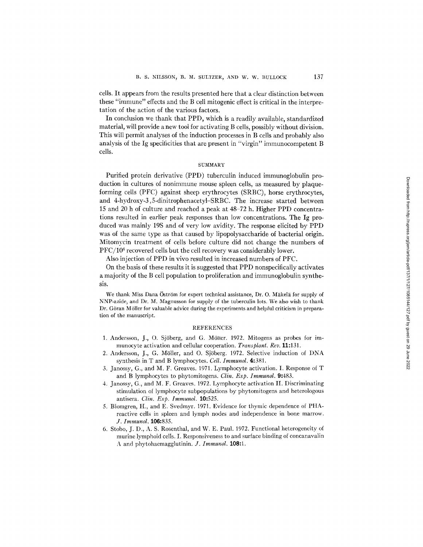cells. It appears from the results presented here that a clear distinction between these "immune" effects and the B cell mitogenic effect is critical in the interpretation of the action of the various factors.

In conclusion we thank that PPD, which is a readily available, standardized material, will provide a new tool for activating B cells, possibly without division. This will permit analyses of the induction processes in B cells and probably also analysis of the Ig specificities that are present in "virgin" immunocompetent B cells.

## **SUMMARY**

Purified protein derivative (PPD) tuberculin induced immunoglobulin production in cultures of nonimmune mouse spleen cells, as measured by plaqueforming cells (PFC) against sheep erythrocytes (SRBC), horse erythrocytes, and 4-hydroxy-3,5-dinitrophenacetyl-SRBC. The increase started between 15 and 20 h of culture and reached a peak at 48-72 h. Higher PPD concentrations resulted in earlier peak responses than low concentrations. The Ig produced was mainly 19S and of very low avidity. The response elicited by PPD was of the same type as that caused by lipopolysaccharide of bacterial origin. Mitomycin treatment of cells before culture did not change the numbers of PFC/106 recovered cells but the cell recovery was considerably lower.

Also injection of PPD in vivo resulted in increased numbers of PFC.

On the basis of these results it is suggested that PPD nonspecifically activates a majority of the B cell population to proliferation and immunoglobulin synthesis.

We thank Miss Dana Öström for expert technical assistance, Dr. O. Mäkelä for supply of NNP-azide, and Dr. M. Magnusson for supply of the tuberculin lots. We also wish to thank Dr. Göran Möller for valuable advice during the experiments and helpful criticism in preparation of the manuscript.

#### REFERENCES

- 1. Andersson, J., O. Sjöberg, and G. Möller. 1972. Mitogens as probes for immunocyte activation and cellular cooperation. *Transplant. Rev.* 11:131.
- 2. Andersson, J., G. Möller, and O. Sjöberg. 1972. Selective induction of DNA synthesis in T and B lymphocytes. *Cell. Immunol.* 4:381.
- 3. Janossy, G., and M. F. Greaves. 1971. Lymphocyte activation. I. Response of T and B lymphocytes to phytomitogens. *Clin. Exp. Immunol.* 9:483.
- 4. Janossy, G., and M. F. Greaves. 1972. Lymphocyte activation II. Discriminating stimulation of lymphocyte subpopulations by phytomitogens and heterologous antisera. *Clin. Exp. Immunol.* 10:525.
- 5. Blomgren, H., and E. Svedmyr. 1971. Evidence for thymic dependence of PHAreactive cells in spleen and lymph nodes and independence in bone marrow. *J. Immunol.* 106:835.
- 6. Stobo, J. D., A. S. Rosenthal, and W. E. Paul. 1972. Functional heterogeneity of murine lymphoid cells. I. Responsiveness to and surface binding of concanavalin A and phytohaemagglutinin. *J. Immunol.* **108:1.**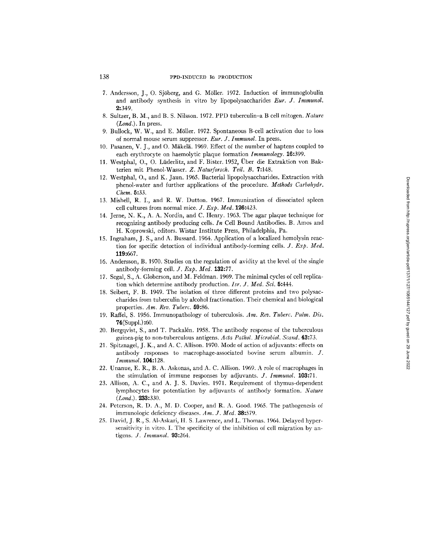# 138 PPD-INDUCED IG PRODUCTION

- 7. Andersson, J., O. Sjöberg, and G. Möller. 1972. Induction of immunoglobulin and antibody synthesis in vitro by lipopolysaccharides *Eur. J. Immunol.*  2:349.
- 8. Sultzer, B. M., and B. S. Nilsson. 1972. PPD tuberculin-a B cell mitogen. *Nature*   $(Lond.)$ . In press.
- 9. Bullock, W. W., and E. Möller. 1972. Spontaneous B-cell activation due to loss of normal mouse serum suppressor. *Eur. J. Immunol.* In press.
- 10. Pasanen, V. J., and O. Mäkelä. 1969. Effect of the number of haptens coupled to each erythrocyte on haemolytic plaque formation *Immunology.* 16:399.
- 11. Westphal, O., O. Lüderlitz, and F. Bister. 1952, Über die Extraktion von Bakterien mit Phenol-Wasser. *Z. Naturforsch. Tell. B.* 7:148.
- 12. Westphal, O., and K. Jaun. 1965. Bacterial lipopolysaccharides. Extraction with phenol-water and further applications of the procedure. *Methods Carbohydr. Chem.* 5:33.
- 13. Mishell, R. I., and R. W. Dutton. 1967. Immunization of dissociated spleen cell cultures from normal mice. *J. Exp. Med.* **126:**423.
- 14. Jerne, N. K., A. A. Nordin, and C. Henry. 1963. The agar plaque technique for recognizing antibody producing cells. *In* Cell Bound Antibodies. B. Amos and H. Koprowski, editors. Wistar Institute Press, Philadelphia, Pa.
- 15. Ingraham, J. S., and A. Bussard. 1964. Application of a localized hemolysin reaction for specific detection of individual antibody-forming cells. *J. Exp. Med.*  119:667.
- 16. Andersson, B. 1970. Studies on the regulation of avidity at the level of the single antibody-forming cell. *J. Exp. Med.* 139.:77.
- 17. Segal, S., A. Globerson, and M. Feldman. 1969. The minimal cycles of cell replication which determine antibody production. *Isr. J. Med. Sci.* 5:444.
- 18. Seibert, F. B. 1949. The isolation of three different proteins and two polysaccharides from tuberculin by alcohol fractionation. Their chemical and biological properties. *Am. Rev. Tuberc.* 59:86.
- 19. Raffel, S. 1956. Immunopatbology of tuberculosis. *Am. Rev. Tuberc. P ulm. Dis.*  74(Suppl.) :60.
- 20. Bergqvist, S., and T. Packalén. 1958. The antibody response of the tuberculous guinea-pig to non-tuberculous antigens. *Acta Pathol. Microbiol. Scan&* 43:73.
- 21. Spitznagel, J. K., and A. C. Allison. 1970. Mode of action of adjuvants: effects on antibody responses to macrophage-associated bovine serum albumin. J. *Immunol.* 104:128.
- 22. Unanue, E. R., B. A. Askonas, and A. C. Allison. 1969. A role of macrophages in the stimulation of immune responses by adjuvants. *J. Immunol.* 103:71.
- 23. Allison, A. C., and A. J. S. Davies. 1971. Requirement of thymus-dependent lymphocytes for potentiation by adjuvants of antibody formation. *Nature*  (*Lond.*). **233:**330.
- 24. Peterson, R. D. A., M. D. Cooper, and R. A. Good. 1965. The pathogenesis of immunologic deficiency diseases. *Am. J. Med.* 38:579.
- 25. David, J. R., S. A1-Askari, H. S. Lawrence, and L. Thomas. 1964. Delayed hypersensitivity in vitro. I. The specificity of the inhibition of cell migration by antigens. *J. Immunol.* 93:264.